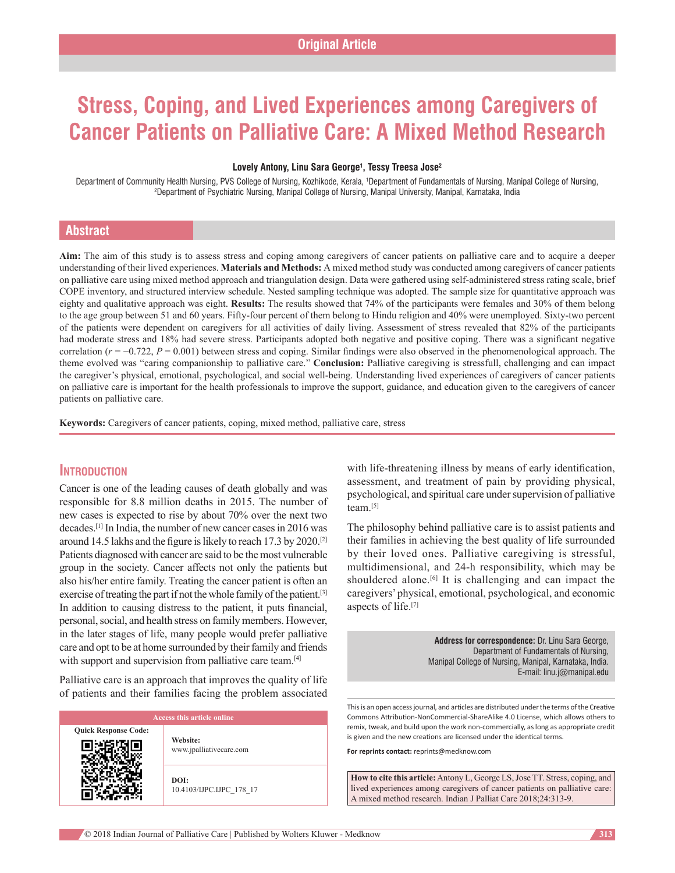# **Stress, Coping, and Lived Experiences among Caregivers of Cancer Patients on Palliative Care: A Mixed Method Research**

#### **Lovely Antony, Linu Sara George1 , Tessy Treesa Jose2**

Department of Community Health Nursing, PVS College of Nursing, Kozhikode, Kerala, 1Department of Fundamentals of Nursing, Manipal College of Nursing,<br><sup>2</sup>Department of Psychiatric Nursing, Manipal College of Nursing, Manip Department of Psychiatric Nursing, Manipal College of Nursing, Manipal University, Manipal, Karnataka, India

# **Abstract**

**Aim:** The aim of this study is to assess stress and coping among caregivers of cancer patients on palliative care and to acquire a deeper understanding of their lived experiences. **Materials and Methods:** A mixed method study was conducted among caregivers of cancer patients on palliative care using mixed method approach and triangulation design. Data were gathered using self‑administered stress rating scale, brief COPE inventory, and structured interview schedule. Nested sampling technique was adopted. The sample size for quantitative approach was eighty and qualitative approach was eight. **Results:** The results showed that 74% of the participants were females and 30% of them belong to the age group between 51 and 60 years. Fifty-four percent of them belong to Hindu religion and 40% were unemployed. Sixty-two percent of the patients were dependent on caregivers for all activities of daily living. Assessment of stress revealed that 82% of the participants had moderate stress and 18% had severe stress. Participants adopted both negative and positive coping. There was a significant negative correlation (*r* = −0.722, *P* = 0.001) between stress and coping. Similar findings were also observed in the phenomenological approach. The theme evolved was "caring companionship to palliative care." **Conclusion:** Palliative caregiving is stressfull, challenging and can impact the caregiver's physical, emotional, psychological, and social well‑being. Understanding lived experiences of caregivers of cancer patients on palliative care is important for the health professionals to improve the support, guidance, and education given to the caregivers of cancer patients on palliative care.

**Keywords:** Caregivers of cancer patients, coping, mixed method, palliative care, stress

# **Introduction**

Cancer is one of the leading causes of death globally and was responsible for 8.8 million deaths in 2015. The number of new cases is expected to rise by about 70% over the next two decades.[1] In India, the number of new cancer cases in 2016 was around 14.5 lakhs and the figure is likely to reach 17.3 by 2020.[2] Patients diagnosed with cancer are said to be the most vulnerable group in the society. Cancer affects not only the patients but also his/her entire family. Treating the cancer patient is often an exercise of treating the part if not the whole family of the patient.[3] In addition to causing distress to the patient, it puts financial, personal, social, and health stress on family members. However, in the later stages of life, many people would prefer palliative care and opt to be at home surrounded by their family and friends with support and supervision from palliative care team.<sup>[4]</sup>

Palliative care is an approach that improves the quality of life of patients and their families facing the problem associated

| <b>Access this article online</b> |                                     |  |
|-----------------------------------|-------------------------------------|--|
| <b>Quick Response Code:</b>       | Website:<br>www.jpalliativecare.com |  |
|                                   | DOI:<br>10.4103/IJPC.IJPC 178 17    |  |

with life-threatening illness by means of early identification, assessment, and treatment of pain by providing physical, psychological, and spiritual care under supervision of palliative team.[5]

The philosophy behind palliative care is to assist patients and their families in achieving the best quality of life surrounded by their loved ones. Palliative caregiving is stressful, multidimensional, and 24‑h responsibility, which may be shouldered alone.<sup>[6]</sup> It is challenging and can impact the caregivers' physical, emotional, psychological, and economic aspects of life.[7]

> **Address for correspondence:** Dr. Linu Sara George, Department of Fundamentals of Nursing, Manipal College of Nursing, Manipal, Karnataka, India. E‑mail: linu.j@manipal.edu

This is an open access journal, and articles are distributed under the terms of the Creative Commons Attribution‑NonCommercial‑ShareAlike 4.0 License, which allows others to remix, tweak, and build upon the work non‑commercially, as long as appropriate credit is given and the new creations are licensed under the identical terms.

**For reprints contact:** reprints@medknow.com

**How to cite this article:** Antony L, George LS, Jose TT. Stress, coping, and lived experiences among caregivers of cancer patients on palliative care: A mixed method research. Indian J Palliat Care 2018;24:313-9.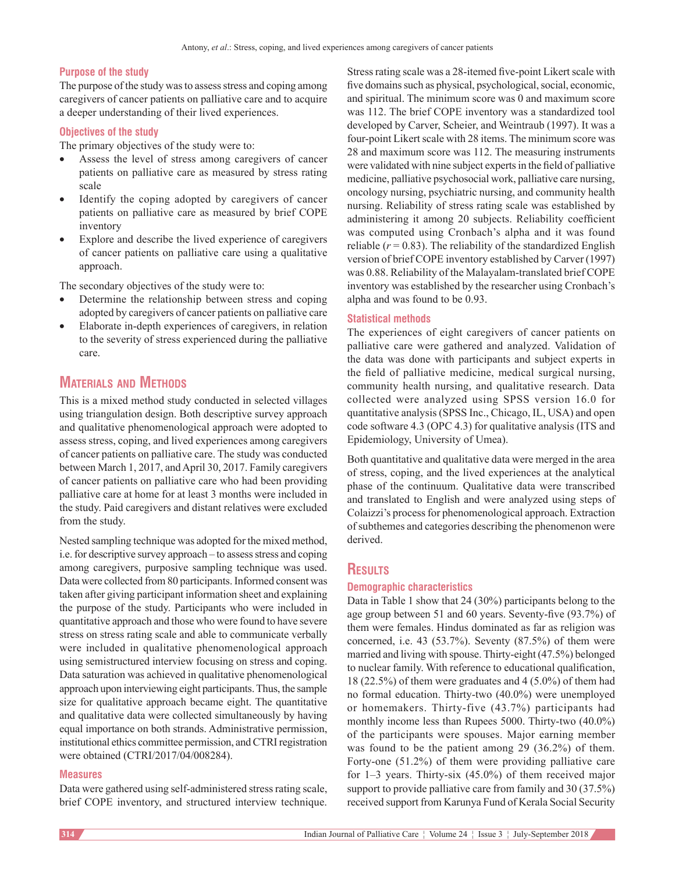#### **Purpose of the study**

The purpose of the study was to assess stress and coping among caregivers of cancer patients on palliative care and to acquire a deeper understanding of their lived experiences.

#### **Objectives of the study**

The primary objectives of the study were to:

- Assess the level of stress among caregivers of cancer patients on palliative care as measured by stress rating scale
- Identify the coping adopted by caregivers of cancer patients on palliative care as measured by brief COPE inventory
- Explore and describe the lived experience of caregivers of cancer patients on palliative care using a qualitative approach.

The secondary objectives of the study were to:

- Determine the relationship between stress and coping adopted by caregivers of cancer patients on palliative care
- Elaborate in-depth experiences of caregivers, in relation to the severity of stress experienced during the palliative care.

# **Materials and Methods**

This is a mixed method study conducted in selected villages using triangulation design. Both descriptive survey approach and qualitative phenomenological approach were adopted to assess stress, coping, and lived experiences among caregivers of cancer patients on palliative care. The study was conducted between March 1, 2017, and April 30, 2017. Family caregivers of cancer patients on palliative care who had been providing palliative care at home for at least 3 months were included in the study. Paid caregivers and distant relatives were excluded from the study.

Nested sampling technique was adopted for the mixed method, i.e. for descriptive survey approach – to assess stress and coping among caregivers, purposive sampling technique was used. Data were collected from 80 participants. Informed consent was taken after giving participant information sheet and explaining the purpose of the study. Participants who were included in quantitative approach and those who were found to have severe stress on stress rating scale and able to communicate verbally were included in qualitative phenomenological approach using semistructured interview focusing on stress and coping. Data saturation was achieved in qualitative phenomenological approach upon interviewing eight participants. Thus, the sample size for qualitative approach became eight. The quantitative and qualitative data were collected simultaneously by having equal importance on both strands. Administrative permission, institutional ethics committee permission, and CTRI registration were obtained (CTRI/2017/04/008284).

#### **Measures**

Data were gathered using self‑administered stress rating scale, brief COPE inventory, and structured interview technique. Stress rating scale was a 28‑itemed five‑point Likert scale with five domains such as physical, psychological, social, economic, and spiritual. The minimum score was 0 and maximum score was 112. The brief COPE inventory was a standardized tool developed by Carver, Scheier, and Weintraub (1997). It was a four-point Likert scale with 28 items. The minimum score was 28 and maximum score was 112. The measuring instruments were validated with nine subject experts in the field of palliative medicine, palliative psychosocial work, palliative care nursing, oncology nursing, psychiatric nursing, and community health nursing. Reliability of stress rating scale was established by administering it among 20 subjects. Reliability coefficient was computed using Cronbach's alpha and it was found reliable  $(r = 0.83)$ . The reliability of the standardized English version of brief COPE inventory established by Carver (1997) was 0.88. Reliability of the Malayalam-translated brief COPE inventory was established by the researcher using Cronbach's alpha and was found to be 0.93.

#### **Statistical methods**

The experiences of eight caregivers of cancer patients on palliative care were gathered and analyzed. Validation of the data was done with participants and subject experts in the field of palliative medicine, medical surgical nursing, community health nursing, and qualitative research. Data collected were analyzed using SPSS version 16.0 for quantitative analysis(SPSS Inc., Chicago, IL, USA) and open code software 4.3 (OPC 4.3) for qualitative analysis (ITS and Epidemiology, University of Umea).

Both quantitative and qualitative data were merged in the area of stress, coping, and the lived experiences at the analytical phase of the continuum. Qualitative data were transcribed and translated to English and were analyzed using steps of Colaizzi's process for phenomenological approach. Extraction of subthemes and categories describing the phenomenon were derived.

# **Results**

#### **Demographic characteristics**

Data in Table 1 show that 24 (30%) participants belong to the age group between 51 and 60 years. Seventy‑five (93.7%) of them were females. Hindus dominated as far as religion was concerned, i.e. 43 (53.7%). Seventy (87.5%) of them were married and living with spouse. Thirty-eight (47.5%) belonged to nuclear family. With reference to educational qualification, 18 (22.5%) of them were graduates and 4 (5.0%) of them had no formal education. Thirty-two (40.0%) were unemployed or homemakers. Thirty-five (43.7%) participants had monthly income less than Rupees 5000. Thirty-two (40.0%) of the participants were spouses. Major earning member was found to be the patient among 29 (36.2%) of them. Forty-one  $(51.2%)$  of them were providing palliative care for  $1-3$  years. Thirty-six (45.0%) of them received major support to provide palliative care from family and 30 (37.5%) received support from Karunya Fund of Kerala Social Security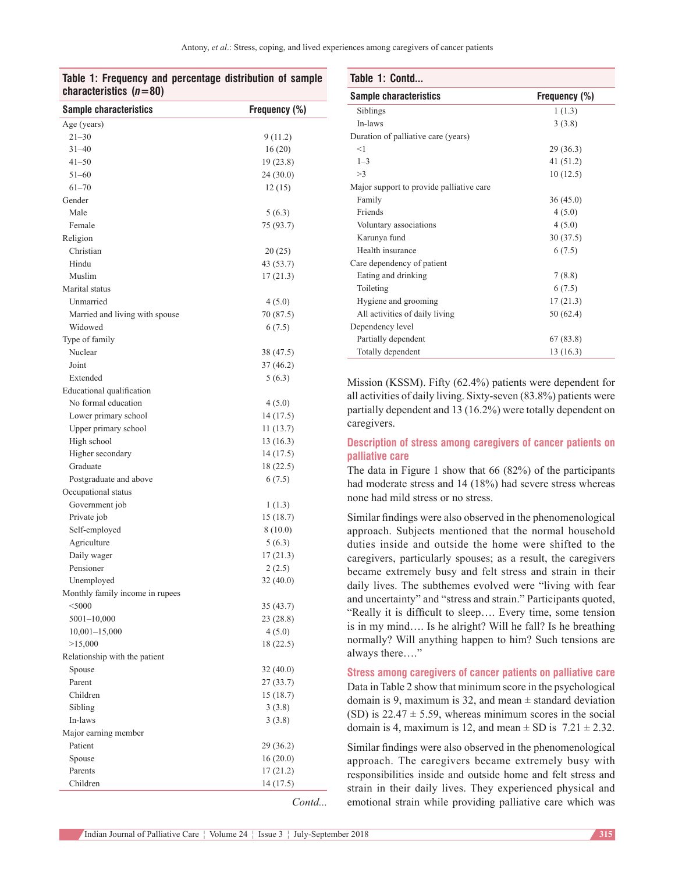## **Table 1: Frequency and percentage distribution of sample characteristics (***n***=80)**

| <b>Sample characteristics</b>   | Frequency (%) |
|---------------------------------|---------------|
| Age (years)                     |               |
| $21 - 30$                       | 9(11.2)       |
| $31 - 40$                       | 16(20)        |
| $41 - 50$                       | 19 (23.8)     |
| $51 - 60$                       | 24(30.0)      |
| $61 - 70$                       | 12(15)        |
| Gender                          |               |
| Male                            | 5(6.3)        |
| Female                          | 75 (93.7)     |
| Religion                        |               |
| Christian                       | 20(25)        |
| Hindu                           | 43 (53.7)     |
| Muslim                          | 17(21.3)      |
| Marital status                  |               |
| Unmarried                       | 4(5.0)        |
| Married and living with spouse  | 70 (87.5)     |
| Widowed                         | 6(7.5)        |
| Type of family                  |               |
| Nuclear                         | 38 (47.5)     |
| Joint                           | 37(46.2)      |
| Extended                        | 5(6.3)        |
| Educational qualification       |               |
| No formal education             | 4(5.0)        |
| Lower primary school            | 14 (17.5)     |
| Upper primary school            | 11(13.7)      |
| High school                     | 13 (16.3)     |
| Higher secondary                | 14 (17.5)     |
| Graduate                        | 18 (22.5)     |
| Postgraduate and above          | 6(7.5)        |
| Occupational status             |               |
| Government job                  | 1(1.3)        |
| Private job                     | 15(18.7)      |
| Self-employed                   | 8 (10.0)      |
| Agriculture                     | 5(6.3)        |
| Daily wager                     | 17(21.3)      |
| Pensioner                       | 2(2.5)        |
| Unemployed                      | 32(40.0)      |
| Monthly family income in rupees |               |
| $<$ 5000                        | 35(43.7)      |
| $5001 - 10,000$                 | 23(28.8)      |
| $10,001 - 15,000$               | 4(5.0)        |
| >15,000                         | 18 (22.5)     |
| Relationship with the patient   |               |
| Spouse                          | 32(40.0)      |
| Parent                          | 27(33.7)      |
| Children                        | 15(18.7)      |
| Sibling                         | 3(3.8)        |
| In-laws                         | 3(3.8)        |
| Major earning member            |               |
| Patient                         | 29(36.2)      |
| Spouse                          | 16(20.0)      |
| Parents                         | 17(21.2)      |
| Children                        | 14(17.5)      |
|                                 | Contd         |

| Table 1: Contd                           |               |  |  |
|------------------------------------------|---------------|--|--|
| <b>Sample characteristics</b>            | Frequency (%) |  |  |
| Siblings                                 | 1(1.3)        |  |  |
| In-laws                                  | 3(3.8)        |  |  |
| Duration of palliative care (years)      |               |  |  |
| <1                                       | 29(36.3)      |  |  |
| $1 - 3$                                  | 41(51.2)      |  |  |
| >3                                       | 10(12.5)      |  |  |
| Major support to provide palliative care |               |  |  |
| Family                                   | 36(45.0)      |  |  |
| Friends                                  | 4(5.0)        |  |  |
| Voluntary associations                   | 4(5.0)        |  |  |
| Karunya fund                             | 30(37.5)      |  |  |
| Health insurance                         | 6(7.5)        |  |  |
| Care dependency of patient               |               |  |  |
| Eating and drinking                      | 7(8.8)        |  |  |
| Toileting                                | 6(7.5)        |  |  |
| Hygiene and grooming                     | 17(21.3)      |  |  |
| All activities of daily living           | 50(62.4)      |  |  |
| Dependency level                         |               |  |  |
| Partially dependent                      | 67(83.8)      |  |  |
| Totally dependent                        | 13(16.3)      |  |  |

Mission (KSSM). Fifty (62.4%) patients were dependent for all activities of daily living. Sixty‑seven (83.8%) patients were partially dependent and 13 (16.2%) were totally dependent on caregivers.

## **Description of stress among caregivers of cancer patients on palliative care**

The data in Figure 1 show that 66 (82%) of the participants had moderate stress and 14 (18%) had severe stress whereas none had mild stress or no stress.

Similar findings were also observed in the phenomenological approach. Subjects mentioned that the normal household duties inside and outside the home were shifted to the caregivers, particularly spouses; as a result, the caregivers became extremely busy and felt stress and strain in their daily lives. The subthemes evolved were "living with fear and uncertainty" and "stress and strain." Participants quoted, "Really it is difficult to sleep…. Every time, some tension is in my mind…. Is he alright? Will he fall? Is he breathing normally? Will anything happen to him? Such tensions are always there…."

**Stress among caregivers of cancer patients on palliative care** Data in Table 2 show that minimum score in the psychological domain is 9, maximum is 32, and mean  $\pm$  standard deviation (SD) is  $22.47 \pm 5.59$ , whereas minimum scores in the social domain is 4, maximum is 12, and mean  $\pm$  SD is 7.21  $\pm$  2.32.

Similar findings were also observed in the phenomenological approach. The caregivers became extremely busy with responsibilities inside and outside home and felt stress and strain in their daily lives. They experienced physical and emotional strain while providing palliative care which was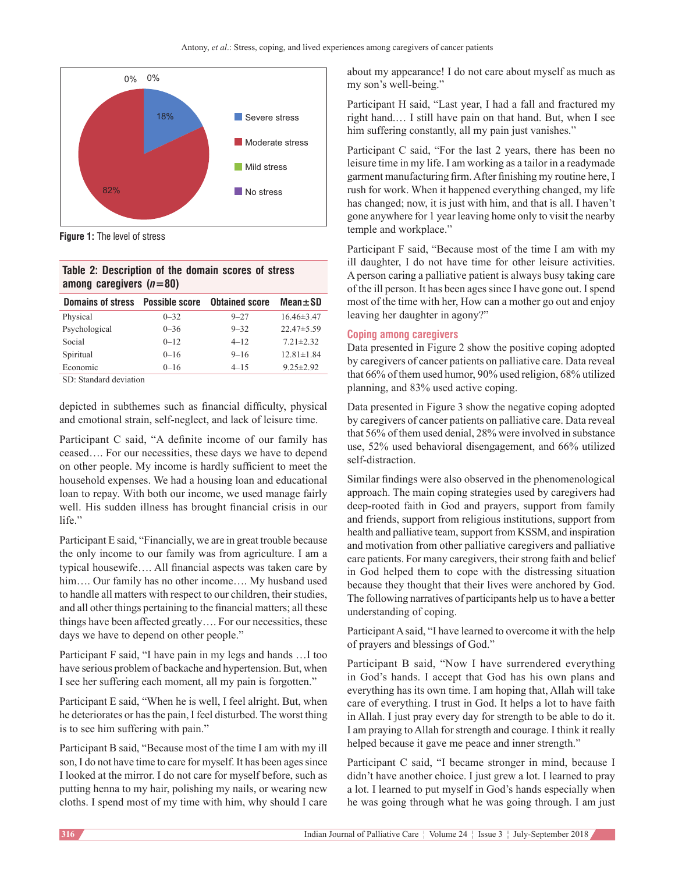

**Figure 1:** The level of stress

# **Table 2: Description of the domain scores of stress among caregivers (***n***=80)**

| <b>Domains of stress</b>                                                     | <b>Possible score</b> | <b>Obtained score</b> | $Mean \pm SD$    |
|------------------------------------------------------------------------------|-----------------------|-----------------------|------------------|
| Physical                                                                     | $0 - 32$              | $9 - 27$              | $16.46\pm3.47$   |
| Psychological                                                                | $0 - 36$              | $9 - 32$              | $22.47 \pm 5.59$ |
| Social                                                                       | $0 - 12$              | $4 - 12$              | $7.21 \pm 2.32$  |
| Spiritual                                                                    | $0 - 16$              | $9 - 16$              | $12.81 \pm 1.84$ |
| Economic                                                                     | $0 - 16$              | $4 - 15$              | $9.25 \pm 2.92$  |
| $\alpha$ $\alpha$ $\beta$ $\beta$ $\gamma$ $\beta$ $\gamma$ $\beta$ $\gamma$ |                       |                       |                  |

SD: Standard deviation

depicted in subthemes such as financial difficulty, physical and emotional strain, self‑neglect, and lack of leisure time.

Participant C said, "A definite income of our family has ceased…. For our necessities, these days we have to depend on other people. My income is hardly sufficient to meet the household expenses. We had a housing loan and educational loan to repay. With both our income, we used manage fairly well. His sudden illness has brought financial crisis in our life."

Participant E said, "Financially, we are in great trouble because the only income to our family was from agriculture. I am a typical housewife…. All financial aspects was taken care by him…. Our family has no other income…. My husband used to handle all matters with respect to our children, their studies, and all other things pertaining to the financial matters; all these things have been affected greatly…. For our necessities, these days we have to depend on other people."

Participant F said, "I have pain in my legs and hands …I too have serious problem of backache and hypertension. But, when I see her suffering each moment, all my pain is forgotten."

Participant E said, "When he is well, I feel alright. But, when he deteriorates or has the pain, I feel disturbed. The worst thing is to see him suffering with pain."

Participant B said, "Because most of the time I am with my ill son, I do not have time to care for myself. It has been ages since I looked at the mirror. I do not care for myself before, such as putting henna to my hair, polishing my nails, or wearing new cloths. I spend most of my time with him, why should I care about my appearance! I do not care about myself as much as my son's well-being."

Participant H said, "Last year, I had a fall and fractured my right hand.… I still have pain on that hand. But, when I see him suffering constantly, all my pain just vanishes."

Participant C said, "For the last 2 years, there has been no leisure time in my life. I am working as a tailor in a readymade garment manufacturing firm. After finishing my routine here, I rush for work. When it happened everything changed, my life has changed; now, it is just with him, and that is all. I haven't gone anywhere for 1 year leaving home only to visit the nearby temple and workplace."

Participant F said, "Because most of the time I am with my ill daughter, I do not have time for other leisure activities. A person caring a palliative patient is always busy taking care of the ill person. It has been ages since I have gone out. Ispend most of the time with her, How can a mother go out and enjoy leaving her daughter in agony?"

#### **Coping among caregivers**

Data presented in Figure 2 show the positive coping adopted by caregivers of cancer patients on palliative care. Data reveal that 66% of them used humor, 90% used religion, 68% utilized planning, and 83% used active coping.

Data presented in Figure 3 show the negative coping adopted by caregivers of cancer patients on palliative care. Data reveal that 56% of them used denial, 28% were involved in substance use, 52% used behavioral disengagement, and 66% utilized self-distraction.

Similar findings were also observed in the phenomenological approach. The main coping strategies used by caregivers had deep‑rooted faith in God and prayers, support from family and friends, support from religious institutions, support from health and palliative team, support from KSSM, and inspiration and motivation from other palliative caregivers and palliative care patients. For many caregivers, their strong faith and belief in God helped them to cope with the distressing situation because they thought that their lives were anchored by God. The following narratives of participants help us to have a better understanding of coping.

Participant A said, "I have learned to overcome it with the help of prayers and blessings of God."

Participant B said, "Now I have surrendered everything in God's hands. I accept that God has his own plans and everything has its own time. I am hoping that, Allah will take care of everything. I trust in God. It helps a lot to have faith in Allah. I just pray every day for strength to be able to do it. I am praying to Allah for strength and courage. I think it really helped because it gave me peace and inner strength."

Participant C said, "I became stronger in mind, because I didn't have another choice. I just grew a lot. I learned to pray a lot. I learned to put myself in God's hands especially when he was going through what he was going through. I am just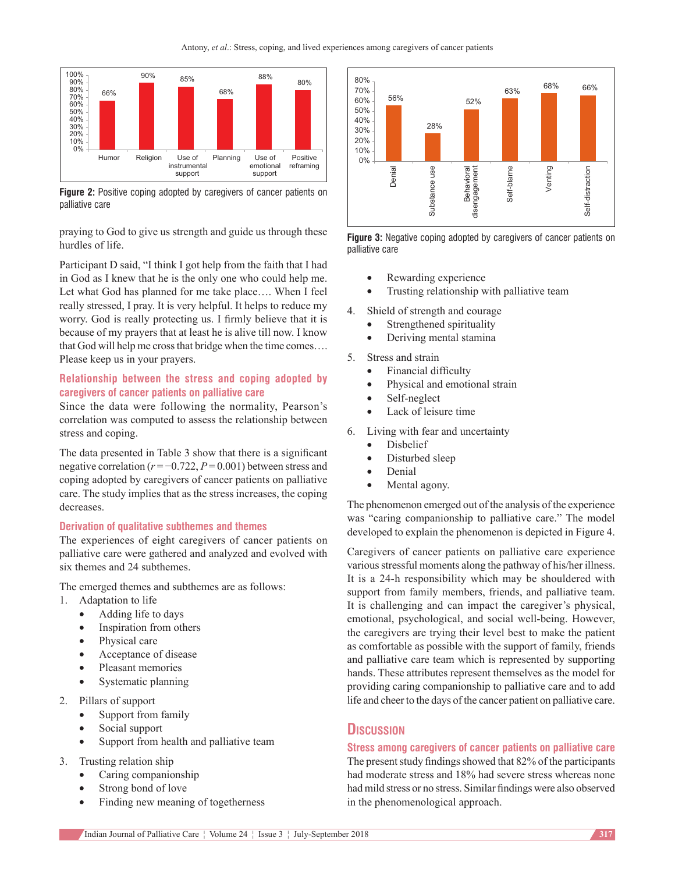

**Figure 2:** Positive coping adopted by caregivers of cancer patients on palliative care

praying to God to give us strength and guide us through these hurdles of life.

Participant D said, "I think I got help from the faith that I had in God as I knew that he is the only one who could help me. Let what God has planned for me take place…. When I feel really stressed, I pray. It is very helpful. It helps to reduce my worry. God is really protecting us. I firmly believe that it is because of my prayers that at least he is alive till now. I know that God will help me cross that bridge when the time comes…. Please keep us in your prayers.

# **Relationship between the stress and coping adopted by caregivers of cancer patients on palliative care**

Since the data were following the normality, Pearson's correlation was computed to assess the relationship between stress and coping.

The data presented in Table 3 show that there is a significant negative correlation (*r* = −0.722, *P* = 0.001) between stress and coping adopted by caregivers of cancer patients on palliative care. The study implies that as the stress increases, the coping decreases.

## **Derivation of qualitative subthemes and themes**

The experiences of eight caregivers of cancer patients on palliative care were gathered and analyzed and evolved with six themes and 24 subthemes.

The emerged themes and subthemes are as follows:

- 1. Adaptation to life
	- Adding life to days
	- Inspiration from others
	- Physical care
	- Acceptance of disease
	- Pleasant memories
	- Systematic planning
- 2. Pillars of support
	- Support from family
	- Social support
	- Support from health and palliative team
- 3. Trusting relation ship
	- Caring companionship
	- Strong bond of love
	- Finding new meaning of togetherness



**Figure 3:** Negative coping adopted by caregivers of cancer patients on palliative care

- Rewarding experience
- Trusting relationship with palliative team
- 4. Shield of strength and courage
	- Strengthened spirituality
	- Deriving mental stamina
- 5. Stress and strain
	- Financial difficulty
	- Physical and emotional strain
	- Self-neglect
	- Lack of leisure time
- 6. Living with fear and uncertainty
	- Disbelief
	- Disturbed sleep
	- Denial
	- Mental agony.

The phenomenon emerged out of the analysis of the experience was "caring companionship to palliative care." The model developed to explain the phenomenon is depicted in Figure 4.

Caregivers of cancer patients on palliative care experience various stressful moments along the pathway of his/her illness. It is a 24-h responsibility which may be shouldered with support from family members, friends, and palliative team. It is challenging and can impact the caregiver's physical, emotional, psychological, and social well-being. However, the caregivers are trying their level best to make the patient as comfortable as possible with the support of family, friends and palliative care team which is represented by supporting hands. These attributes represent themselves as the model for providing caring companionship to palliative care and to add life and cheer to the days of the cancer patient on palliative care.

# **Discussion**

# **Stress among caregivers of cancer patients on palliative care** The present study findings showed that 82% of the participants had moderate stress and 18% had severe stress whereas none had mild stress or no stress. Similar findings were also observed in the phenomenological approach.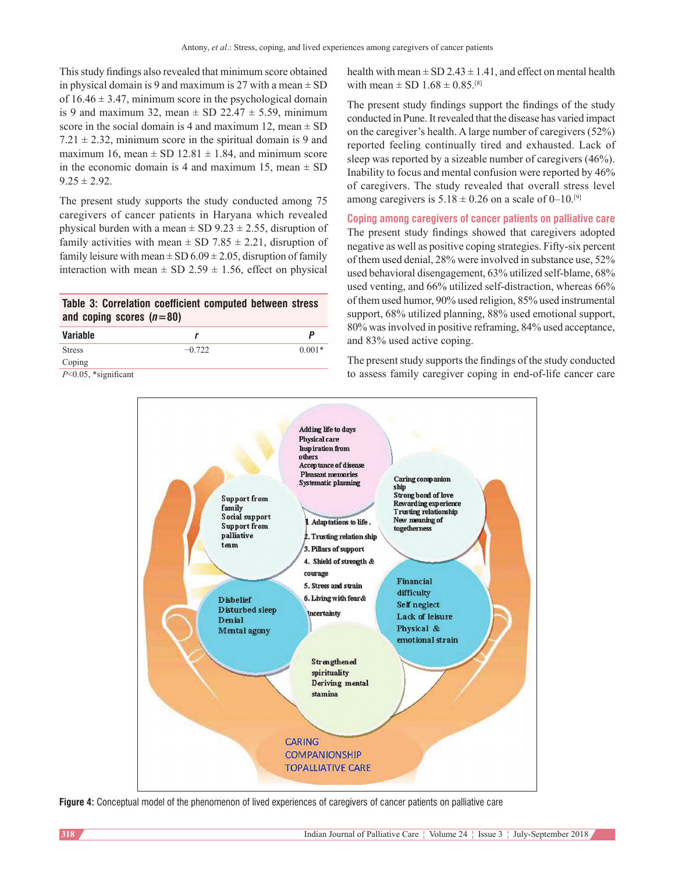This study findings also revealed that minimum score obtained in physical domain is 9 and maximum is 27 with a mean  $\pm$  SD of  $16.46 \pm 3.47$ , minimum score in the psychological domain is 9 and maximum 32, mean  $\pm$  SD 22.47  $\pm$  5.59, minimum score in the social domain is 4 and maximum 12, mean  $\pm$  SD  $7.21 \pm 2.32$ , minimum score in the spiritual domain is 9 and maximum 16, mean  $\pm$  SD 12.81  $\pm$  1.84, and minimum score in the economic domain is 4 and maximum 15, mean  $\pm$  SD  $9.25 \pm 2.92$ .

The present study supports the study conducted among 75 caregivers of cancer patients in Haryana which revealed physical burden with a mean  $\pm$  SD 9.23  $\pm$  2.55, disruption of family activities with mean  $\pm$  SD 7.85  $\pm$  2.21, disruption of family leisure with mean  $\pm$  SD 6.09  $\pm$  2.05, disruption of family interaction with mean  $\pm$  SD 2.59  $\pm$  1.56, effect on physical

# **Table 3: Correlation coefficient computed between stress**  and coping scores  $(n=80)$

| Variable                |          |          |
|-------------------------|----------|----------|
| <b>Stress</b>           | $-0.722$ | $0.001*$ |
| Coping                  |          |          |
| $P < 0.05$ *significant |          |          |

*P*<0.05, \*significant

health with mean  $\pm$  SD 2.43  $\pm$  1.41, and effect on mental health with mean  $\pm$  SD 1.68  $\pm$  0.85.<sup>[8]</sup>

The present study findings support the findings of the study conducted in Pune. It revealed that the disease has varied impact on the caregiver's health. A large number of caregivers (52%) reported feeling continually tired and exhausted. Lack of sleep was reported by a sizeable number of caregivers (46%). Inability to focus and mental confusion were reported by 46% of caregivers. The study revealed that overall stress level among caregivers is  $5.18 \pm 0.26$  on a scale of 0–10.<sup>[9]</sup>

**Coping among caregivers of cancer patients on palliative care** The present study findings showed that caregivers adopted negative as well as positive coping strategies. Fifty‑six percent of them used denial, 28% were involved in substance use, 52% used behavioral disengagement, 63% utilized self‑blame, 68% used venting, and 66% utilized self‑distraction, whereas 66% of them used humor, 90% used religion, 85% used instrumental support, 68% utilized planning, 88% used emotional support, 80% was involved in positive reframing, 84% used acceptance, and 83% used active coping.

The present study supports the findings of the study conducted to assess family caregiver coping in end-of-life cancer care



**Figure 4:** Conceptual model of the phenomenon of lived experiences of caregivers of cancer patients on palliative care